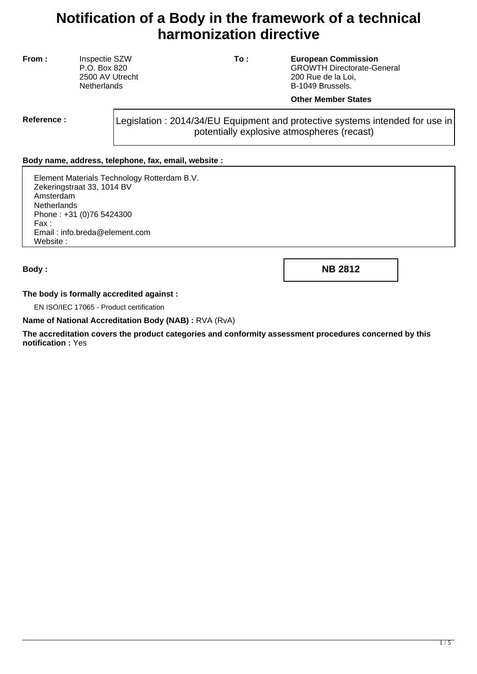# **Notification of a Body in the framework of a technical harmonization directive**

**From :** Inspectie SZW P.O. Box 820 2500 AV Utrecht **Netherlands** 

**To : European Commission** GROWTH Directorate-General 200 Rue de la Loi, B-1049 Brussels.

#### **Other Member States**

**Reference :** Legislation : 2014/34/EU Equipment and protective systems intended for use in potentially explosive atmospheres (recast)

## **Body name, address, telephone, fax, email, website :**

Element Materials Technology Rotterdam B.V. Zekeringstraat 33, 1014 BV Amsterdam **Netherlands** Phone : +31 (0)76 5424300 Fax : Email : info.breda@element.com Website :

**Body : NB 2812**

## **The body is formally accredited against :**

EN ISO/IEC 17065 - Product certification

#### **Name of National Accreditation Body (NAB) :** RVA (RvA)

**The accreditation covers the product categories and conformity assessment procedures concerned by this notification :** Yes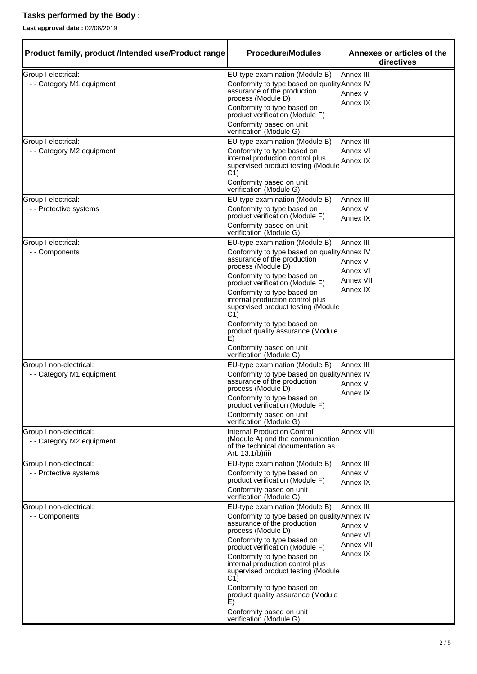# **Tasks performed by the Body :**

**Last approval date :** 02/08/2019

| Product family, product /Intended use/Product range  | <b>Procedure/Modules</b>                                                                                                        | Annexes or articles of the<br>directives |
|------------------------------------------------------|---------------------------------------------------------------------------------------------------------------------------------|------------------------------------------|
| Group I electrical:                                  | EU-type examination (Module B)                                                                                                  | Annex III                                |
| - - Category M1 equipment                            | Conformity to type based on quality Annex IV<br>assurance of the production<br>process (Module D)                               | Annex V                                  |
|                                                      | Conformity to type based on<br>product verification (Module F)                                                                  | Annex IX                                 |
|                                                      | Conformity based on unit<br>verification (Module G)                                                                             |                                          |
| Group I electrical:                                  | EU-type examination (Module B)                                                                                                  | Annex III                                |
| - - Category M2 equipment                            | Conformity to type based on<br>internal production control plus<br>supervised product testing (Module<br>C1)                    | Annex VI<br>Annex IX                     |
|                                                      | Conformity based on unit<br>verification (Module G)                                                                             |                                          |
| Group I electrical:                                  | EU-type examination (Module B)                                                                                                  | Annex III                                |
| - - Protective systems                               | Conformity to type based on<br>product verification (Module F)                                                                  | Annex V<br>Annex <sub>IX</sub>           |
|                                                      | Conformity based on unit<br>verification (Module G)                                                                             |                                          |
| Group I electrical:                                  | EU-type examination (Module B)                                                                                                  | Annex III                                |
| - - Components                                       | Conformity to type based on quality Annex IV<br>assurance of the production                                                     |                                          |
|                                                      | process (Module D)                                                                                                              | Annex V<br>Annex VI                      |
|                                                      | Conformity to type based on<br>product verification (Module F)                                                                  | Annex VII                                |
|                                                      | Conformity to type based on<br>internal production control plus<br>supervised product testing (Module<br>C1)                    | Annex IX                                 |
|                                                      | Conformity to type based on<br>product quality assurance (Module<br>E)                                                          |                                          |
|                                                      | Conformity based on unit<br>verification (Module G)                                                                             |                                          |
| Group I non-electrical:                              | EU-type examination (Module B)                                                                                                  | Annex III                                |
| - - Category M1 equipment                            | Conformity to type based on quality Annex IV<br>assurance of the production                                                     | Annex V                                  |
|                                                      | process (Module D)<br>Conformity to type based on<br>product verification (Module F)                                            | Annex IX                                 |
|                                                      | Conformity based on unit<br>verification (Module G)                                                                             |                                          |
| Group I non-electrical:<br>- - Category M2 equipment | <b>Internal Production Control</b><br>(Module A) and the communication<br>of the technical documentation as<br>Art. 13.1(b)(ii) | Annex VIII                               |
| Group I non-electrical:                              | EU-type examination (Module B)                                                                                                  | Annex III                                |
| - - Protective systems                               | Conformity to type based on<br>product verification (Module F)                                                                  | Annex V<br>Annex IX                      |
|                                                      | Conformity based on unit<br>verification (Module G)                                                                             |                                          |
| Group I non-electrical:                              | EU-type examination (Module B)                                                                                                  | Annex III                                |
| - - Components                                       | Conformity to type based on quality Annex IV<br>assurance of the production                                                     | Annex V                                  |
|                                                      | process (Module D)<br>Conformity to type based on                                                                               | Annex VI                                 |
|                                                      | product verification (Module F)                                                                                                 | Annex VII<br>Annex IX                    |
|                                                      | Conformity to type based on<br>internal production control plus<br>supervised product testing (Module<br>C1)                    |                                          |
|                                                      | Conformity to type based on<br>product quality assurance (Module<br>E)                                                          |                                          |
|                                                      | Conformity based on unit<br>verification (Module G)                                                                             |                                          |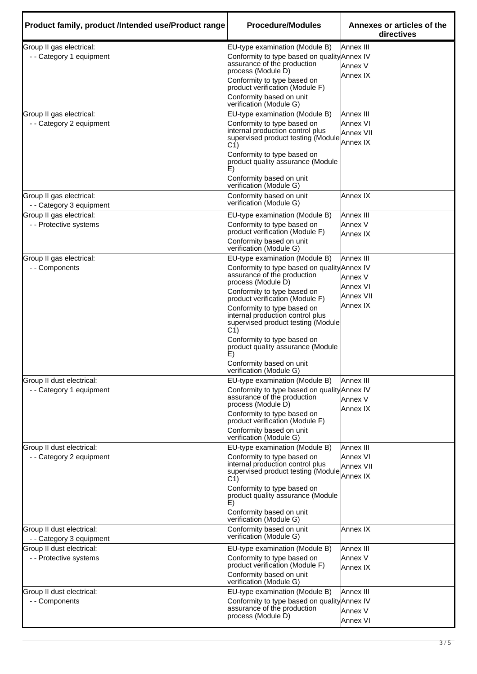| Product family, product /Intended use/Product range   | <b>Procedure/Modules</b>                                                                                                                                                                                                          | Annexes or articles of the<br>directives       |
|-------------------------------------------------------|-----------------------------------------------------------------------------------------------------------------------------------------------------------------------------------------------------------------------------------|------------------------------------------------|
| Group II gas electrical:<br>- - Category 1 equipment  | EU-type examination (Module B)<br>Conformity to type based on quality Annex IV<br>assurance of the production<br>process (Module D)                                                                                               | Annex III<br>Annex V<br>Annex IX               |
|                                                       | Conformity to type based on<br>product verification (Module F)                                                                                                                                                                    |                                                |
|                                                       | Conformity based on unit<br>verification (Module G)                                                                                                                                                                               |                                                |
| Group II gas electrical:<br>- - Category 2 equipment  | EU-type examination (Module B)<br>Conformity to type based on<br>internal production control plus<br>supervised product testing (Module<br>C1)<br>Conformity to type based on                                                     | Annex III<br>Annex VI<br>Annex VII<br>Annex IX |
|                                                       | product quality assurance (Module<br>E)<br>Conformity based on unit                                                                                                                                                               |                                                |
| Group II gas electrical:                              | verification (Module G)<br>Conformity based on unit                                                                                                                                                                               | Annex IX                                       |
| - - Category 3 equipment                              | verification (Module G)                                                                                                                                                                                                           |                                                |
| Group II gas electrical:<br>- - Protective systems    | EU-type examination (Module B)<br>Conformity to type based on<br>product verification (Module F)                                                                                                                                  | Annex III<br>Annex V<br>Annex IX               |
|                                                       | Conformity based on unit<br>verification (Module G)                                                                                                                                                                               |                                                |
| Group II gas electrical:<br>- - Components            | EU-type examination (Module B)<br>Conformity to type based on quality Annex IV<br>assurance of the production<br>process (Module D)                                                                                               | Annex III<br>Annex V<br>Annex VI               |
|                                                       | Conformity to type based on<br>product verification (Module F)<br>Conformity to type based on<br>internal production control plus<br>supervised product testing (Module<br>C1)                                                    | <b>Annex VII</b><br>Annex IX                   |
|                                                       | Conformity to type based on<br>product quality assurance (Module<br>Conformity based on unit<br>verification (Module G)                                                                                                           |                                                |
| Group II dust electrical:<br>- - Category 1 equipment | EU-type examination (Module B)<br>Conformity to type based on quality Annex IV<br>assurance of the production<br>process (Module D)<br>Conformity to type based on<br>product verification (Module F)<br>Conformity based on unit | Annex III<br>Annex V<br>Annex IX               |
| Group II dust electrical:                             | verification (Module G)<br>EU-type examination (Module B)                                                                                                                                                                         | Annex III                                      |
| - - Category 2 equipment                              | Conformity to type based on<br>internal production control plus<br>supervised product testing (Module<br>C1)<br>Conformity to type based on<br>product quality assurance (Module                                                  | Annex VI<br>Annex VII<br>Annex <sub>IX</sub>   |
|                                                       | E)<br>Conformity based on unit<br>verification (Module G)                                                                                                                                                                         |                                                |
| Group II dust electrical:<br>- - Category 3 equipment | Conformity based on unit<br>verification (Module G)                                                                                                                                                                               | Annex IX                                       |
| Group II dust electrical:<br>- - Protective systems   | EU-type examination (Module B)<br>Conformity to type based on<br>product verification (Module F)<br>Conformity based on unit<br>verification (Module G)                                                                           | <b>Annex III</b><br>Annex V<br>Annex IX        |
| Group II dust electrical:<br>- - Components           | EU-type examination (Module B)<br>Conformity to type based on quality Annex IV<br>assurance of the production<br>process (Module D)                                                                                               | Annex III<br>Annex V<br><b>Annex VI</b>        |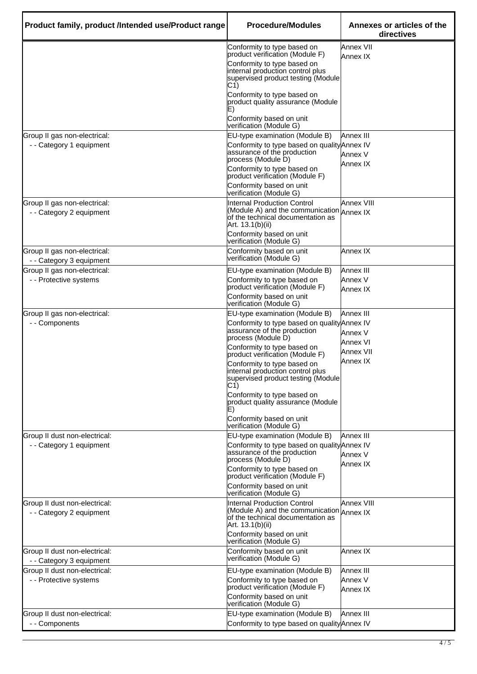| Product family, product /Intended use/Product range       | <b>Procedure/Modules</b>                                                                                                                                                                                                                                                                                       | Annexes or articles of the<br>directives                  |
|-----------------------------------------------------------|----------------------------------------------------------------------------------------------------------------------------------------------------------------------------------------------------------------------------------------------------------------------------------------------------------------|-----------------------------------------------------------|
|                                                           | Conformity to type based on<br>product verification (Module F)<br>Conformity to type based on<br>internal production control plus<br>supervised product testing (Module<br>C1)                                                                                                                                 | Annex VII<br>Annex IX                                     |
|                                                           | Conformity to type based on<br>product quality assurance (Module<br>E)<br>Conformity based on unit<br>verification (Module G)                                                                                                                                                                                  |                                                           |
| Group II gas non-electrical:<br>- - Category 1 equipment  | EU-type examination (Module B)<br>Conformity to type based on quality Annex IV<br>assurance of the production<br>process (Module D)<br>Conformity to type based on<br>product verification (Module F)<br>Conformity based on unit<br>verification (Module G)                                                   | Annex III<br>Annex V<br>Annex IX                          |
| Group II gas non-electrical:<br>- - Category 2 equipment  | <b>Internal Production Control</b><br>(Module A) and the communication Annex IX<br>of the technical documentation as<br>Art. 13.1(b)(ii)<br>Conformity based on unit<br>verification (Module G)                                                                                                                | <b>Annex VIII</b>                                         |
| Group II gas non-electrical:<br>- - Category 3 equipment  | Conformity based on unit<br>verification (Module G)                                                                                                                                                                                                                                                            | Annex IX                                                  |
| Group II gas non-electrical:<br>- - Protective systems    | EU-type examination (Module B)<br>Conformity to type based on<br>product verification (Module F)<br>Conformity based on unit<br>verification (Module G)                                                                                                                                                        | Annex III<br>Annex V<br>Annex IX                          |
| Group II gas non-electrical:<br>- - Components            | EU-type examination (Module B)<br>Conformity to type based on quality Annex IV<br>assurance of the production<br>process (Module D)<br>Conformity to type based on<br>product verification (Module F)<br>Conformity to type based on<br>internal production control plus<br>supervised product testing (Module | Annex III<br>Annex V<br>Annex VI<br>Annex VII<br>Annex IX |
|                                                           | C(1)<br>Conformity to type based on<br>product quality assurance (Module<br>Conformity based on unit<br>verification (Module G)                                                                                                                                                                                |                                                           |
| Group II dust non-electrical:<br>- - Category 1 equipment | EU-type examination (Module B)<br>Conformity to type based on quality Annex IV<br>assurance of the production<br>process (Module D)<br>Conformity to type based on<br>product verification (Module F)<br>Conformity based on unit                                                                              | Annex III<br>Annex V<br>Annex IX                          |
| Group II dust non-electrical:<br>- - Category 2 equipment | verification (Module G)<br><b>Internal Production Control</b><br>Module A) and the communication Annex IX<br>of the technical documentation as<br>Art. 13.1(b)(ii)<br>Conformity based on unit<br>verification (Module G)                                                                                      | Annex VIII                                                |
| Group II dust non-electrical:<br>- - Category 3 equipment | Conformity based on unit<br>verification (Module G)                                                                                                                                                                                                                                                            | Annex IX                                                  |
| Group II dust non-electrical:<br>- - Protective systems   | EU-type examination (Module B)<br>Conformity to type based on<br>product verification (Module F)<br>Conformity based on unit<br>verification (Module G)                                                                                                                                                        | Annex III<br>Annex V<br>Annex IX                          |
| Group II dust non-electrical:<br>- - Components           | EU-type examination (Module B)<br>Conformity to type based on quality Annex IV                                                                                                                                                                                                                                 | Annex III                                                 |